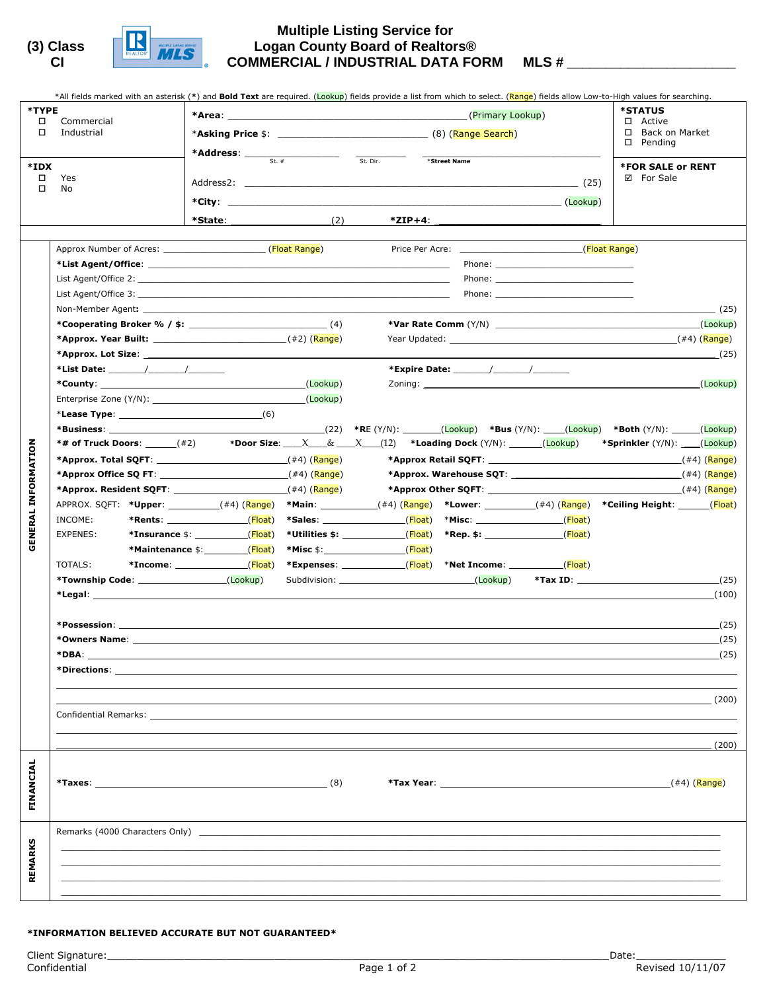



## **Multiple Listing Service for (3) Class Logan County Board of Realtors® CI COMMERCIAL / INDUSTRIAL DATA FORM MLS # \_\_\_\_\_\_\_\_\_\_\_\_\_\_\_\_\_\_\_\_\_\_**

|                            | *All fields marked with an asterisk (*) and Bold Text are required. (Lookup) fields provide a list from which to select. (Range) fields allow Low-to-High values for searching.                                                     |                                                                                                                              |  |                                                                        |  |                               |                                                                                                                                                                                                 |
|----------------------------|-------------------------------------------------------------------------------------------------------------------------------------------------------------------------------------------------------------------------------------|------------------------------------------------------------------------------------------------------------------------------|--|------------------------------------------------------------------------|--|-------------------------------|-------------------------------------------------------------------------------------------------------------------------------------------------------------------------------------------------|
| *TYPE                      |                                                                                                                                                                                                                                     |                                                                                                                              |  |                                                                        |  |                               | <b>*STATUS</b>                                                                                                                                                                                  |
| $\Box$                     | Commercial<br>Industrial                                                                                                                                                                                                            |                                                                                                                              |  | <b>*Asking Price</b> \$: (8) (Range Search)                            |  |                               | □ Active<br>□ Back on Market                                                                                                                                                                    |
|                            |                                                                                                                                                                                                                                     |                                                                                                                              |  |                                                                        |  | $\square$ Pending             |                                                                                                                                                                                                 |
| *IDX                       |                                                                                                                                                                                                                                     | <b>*Address:</b> $\frac{1}{\text{St. } \# \qquad \qquad \text{St. Dir.}}$                                                    |  |                                                                        |  |                               | <b>*FOR SALE or RENT</b>                                                                                                                                                                        |
| $\Box$                     | Yes                                                                                                                                                                                                                                 |                                                                                                                              |  |                                                                        |  |                               | ☑ For Sale                                                                                                                                                                                      |
| □                          | No                                                                                                                                                                                                                                  |                                                                                                                              |  |                                                                        |  |                               |                                                                                                                                                                                                 |
|                            |                                                                                                                                                                                                                                     |                                                                                                                              |  |                                                                        |  |                               |                                                                                                                                                                                                 |
|                            |                                                                                                                                                                                                                                     |                                                                                                                              |  |                                                                        |  |                               |                                                                                                                                                                                                 |
|                            |                                                                                                                                                                                                                                     |                                                                                                                              |  |                                                                        |  |                               |                                                                                                                                                                                                 |
|                            | Approx Number of Acres: (Float Range)                                                                                                                                                                                               |                                                                                                                              |  |                                                                        |  | Price Per Acre: (Float Range) |                                                                                                                                                                                                 |
|                            |                                                                                                                                                                                                                                     |                                                                                                                              |  |                                                                        |  |                               |                                                                                                                                                                                                 |
|                            |                                                                                                                                                                                                                                     |                                                                                                                              |  |                                                                        |  |                               |                                                                                                                                                                                                 |
|                            |                                                                                                                                                                                                                                     |                                                                                                                              |  |                                                                        |  |                               | (25)                                                                                                                                                                                            |
|                            |                                                                                                                                                                                                                                     |                                                                                                                              |  |                                                                        |  |                               | (Lookup)                                                                                                                                                                                        |
|                            |                                                                                                                                                                                                                                     |                                                                                                                              |  |                                                                        |  |                               |                                                                                                                                                                                                 |
|                            |                                                                                                                                                                                                                                     |                                                                                                                              |  |                                                                        |  |                               | (25)                                                                                                                                                                                            |
|                            |                                                                                                                                                                                                                                     |                                                                                                                              |  |                                                                        |  |                               |                                                                                                                                                                                                 |
|                            |                                                                                                                                                                                                                                     |                                                                                                                              |  |                                                                        |  |                               | (Lookup)                                                                                                                                                                                        |
|                            |                                                                                                                                                                                                                                     |                                                                                                                              |  |                                                                        |  |                               |                                                                                                                                                                                                 |
|                            |                                                                                                                                                                                                                                     |                                                                                                                              |  |                                                                        |  |                               |                                                                                                                                                                                                 |
|                            |                                                                                                                                                                                                                                     |                                                                                                                              |  |                                                                        |  |                               | (22)  *RE (Y/N):     ( <mark>Lookup</mark> )  *Bus (Y/N):   ( <mark>Lookup</mark> )  *Both (Y/N):   ( <mark>Lookup</mark> )                                                                     |
|                            |                                                                                                                                                                                                                                     |                                                                                                                              |  |                                                                        |  |                               | *Sprinkler (Y/N): ____(Lookup)                                                                                                                                                                  |
|                            |                                                                                                                                                                                                                                     |                                                                                                                              |  |                                                                        |  |                               |                                                                                                                                                                                                 |
|                            |                                                                                                                                                                                                                                     |                                                                                                                              |  |                                                                        |  |                               |                                                                                                                                                                                                 |
| <b>GENERAL INFORMATION</b> |                                                                                                                                                                                                                                     |                                                                                                                              |  |                                                                        |  |                               | *Approx Other SQFT: $(44)$ (Range)                                                                                                                                                              |
|                            |                                                                                                                                                                                                                                     |                                                                                                                              |  |                                                                        |  |                               | APPROX. SQFT: * <b>Upper</b> : __________(#4) ( <mark>Range</mark> ) *Main: ___________(#4) ( <mark>Range</mark> ) *Lower: _________(#4) ( <mark>Range</mark> ) *Ceiling Height: _______(Float) |
|                            | INCOME:                                                                                                                                                                                                                             |                                                                                                                              |  | *Sales: _____________________(Float) *Misc: ___________________(Float) |  |                               |                                                                                                                                                                                                 |
|                            | EXPENES:                                                                                                                                                                                                                            | *Insurance \$: ____________(Float)                                                                                           |  | *Utilities \$: ________________( <mark>Float</mark> )                  |  |                               |                                                                                                                                                                                                 |
|                            |                                                                                                                                                                                                                                     | *Maintenance \$: (Float)                                                                                                     |  | *Misc \$:_________________________(Float)                              |  |                               |                                                                                                                                                                                                 |
|                            | TOTALS:                                                                                                                                                                                                                             | *Income: _______________( <mark>Float</mark> ) *Expenses: ____________( <mark>Float</mark> ) *Net Income: ___________(Float) |  |                                                                        |  |                               |                                                                                                                                                                                                 |
|                            |                                                                                                                                                                                                                                     |                                                                                                                              |  | Subdivision: (Lookup)                                                  |  |                               | (25)                                                                                                                                                                                            |
|                            |                                                                                                                                                                                                                                     |                                                                                                                              |  |                                                                        |  |                               | (100)                                                                                                                                                                                           |
|                            |                                                                                                                                                                                                                                     |                                                                                                                              |  |                                                                        |  |                               |                                                                                                                                                                                                 |
|                            |                                                                                                                                                                                                                                     |                                                                                                                              |  |                                                                        |  |                               | (25)                                                                                                                                                                                            |
|                            | <b>*Owners Name:</b> Now a series and the series of the series of the series of the series of the series of the series of the series of the series of the series of the series of the series of the series of the series of the ser |                                                                                                                              |  |                                                                        |  |                               | (25)                                                                                                                                                                                            |
|                            | *DBA:                                                                                                                                                                                                                               | ,我们也不会有什么。""我们的人,我们也不会有什么?""我们的人,我们也不会有什么?""我们的人,我们也不会有什么?""我们的人,我们也不会有什么?""我们的人                                             |  |                                                                        |  |                               | (25)                                                                                                                                                                                            |
|                            |                                                                                                                                                                                                                                     |                                                                                                                              |  |                                                                        |  |                               |                                                                                                                                                                                                 |
|                            |                                                                                                                                                                                                                                     |                                                                                                                              |  |                                                                        |  |                               | (200)                                                                                                                                                                                           |
|                            |                                                                                                                                                                                                                                     |                                                                                                                              |  |                                                                        |  |                               |                                                                                                                                                                                                 |
|                            |                                                                                                                                                                                                                                     |                                                                                                                              |  |                                                                        |  |                               |                                                                                                                                                                                                 |
|                            |                                                                                                                                                                                                                                     |                                                                                                                              |  |                                                                        |  |                               | (200)                                                                                                                                                                                           |
|                            |                                                                                                                                                                                                                                     |                                                                                                                              |  |                                                                        |  |                               |                                                                                                                                                                                                 |
|                            |                                                                                                                                                                                                                                     |                                                                                                                              |  |                                                                        |  |                               |                                                                                                                                                                                                 |
| FINANCIAL                  | *Taxes: $(8)$                                                                                                                                                                                                                       |                                                                                                                              |  |                                                                        |  |                               | (#4) (Range)                                                                                                                                                                                    |
|                            |                                                                                                                                                                                                                                     |                                                                                                                              |  |                                                                        |  |                               |                                                                                                                                                                                                 |
|                            |                                                                                                                                                                                                                                     |                                                                                                                              |  |                                                                        |  |                               |                                                                                                                                                                                                 |
|                            |                                                                                                                                                                                                                                     |                                                                                                                              |  |                                                                        |  |                               |                                                                                                                                                                                                 |
| <b>REMARKS</b>             |                                                                                                                                                                                                                                     |                                                                                                                              |  |                                                                        |  |                               |                                                                                                                                                                                                 |
|                            |                                                                                                                                                                                                                                     |                                                                                                                              |  |                                                                        |  |                               |                                                                                                                                                                                                 |
|                            |                                                                                                                                                                                                                                     |                                                                                                                              |  |                                                                        |  |                               |                                                                                                                                                                                                 |
|                            |                                                                                                                                                                                                                                     |                                                                                                                              |  |                                                                        |  |                               |                                                                                                                                                                                                 |

## \*INFORMATION BELIEVED ACCURATE BUT NOT GUARANTEED\*